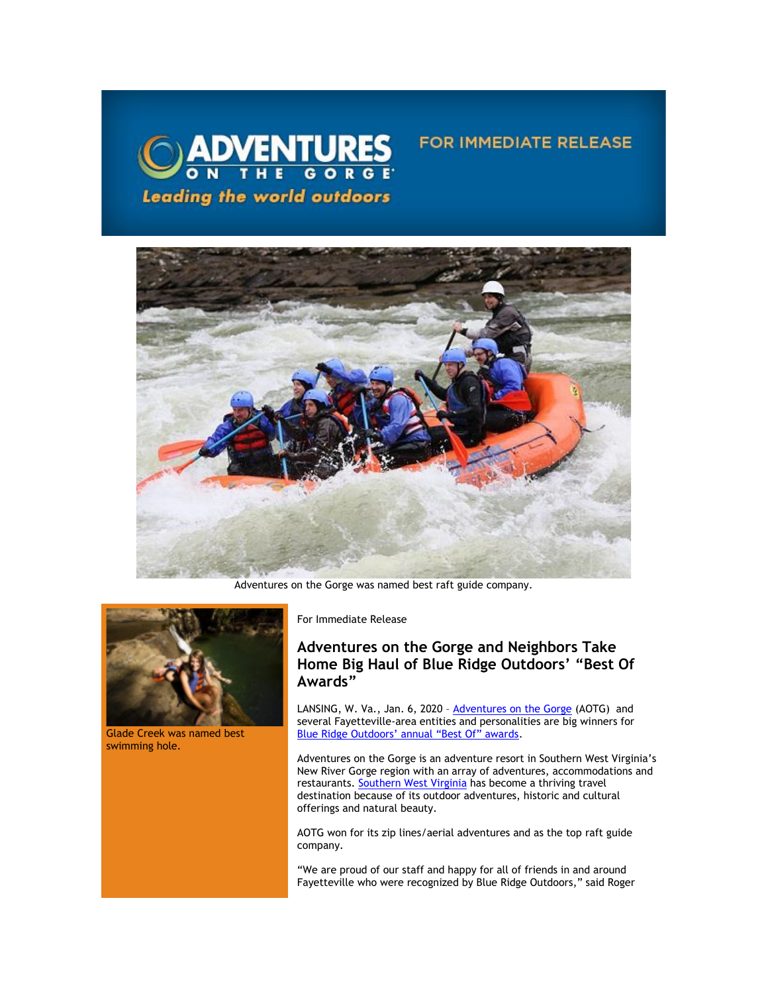

Adventures on the Gorge was named best raft guide company.



Glade Creek was named best swimming hole.

For Immediate Release

## **Adventures on the Gorge and Neighbors Take Home Big Haul of Blue Ridge Outdoors' "Best Of Awards"**

**FOR IMMEDIATE RELEASE** 

LANSING, W. Va., Jan. 6, 2020 - **[Adventures on the Gorge](https://click.icptrack.com/icp/relay.php?r=13370550&msgid=444881&act=5AOA&c=1378153&destination=http%3A%2F%2Fwww.adventuresonthegorge.com%2F) (AOTG)** and several Fayetteville-area entities and personalities are big winners for [Blue Ridge Outdoors' annual "Best Of" awards](https://click.icptrack.com/icp/relay.php?r=13370550&msgid=444881&act=5AOA&c=1378153&destination=https%3A%2F%2Fwww.blueridgeoutdoors.com%2Fgo-outside%2Fbest-of-the-blue-ridge-2020%2F).

Adventures on the Gorge is an adventure resort in Southern West Virginia's New River Gorge region with an array of adventures, accommodations and restaurants. [Southern West Virginia h](https://click.icptrack.com/icp/relay.php?r=13370550&msgid=444881&act=5AOA&c=1378153&destination=https%3A%2F%2Fvisitwv.com%2F)as become a thriving travel destination because of its outdoor adventures, historic and cultural offerings and natural beauty.

AOTG won for its zip lines/aerial adventures and as the top raft guide company.

"We are proud of our staff and happy for all of friends in and around Fayetteville who were recognized by Blue Ridge Outdoors," said Roger